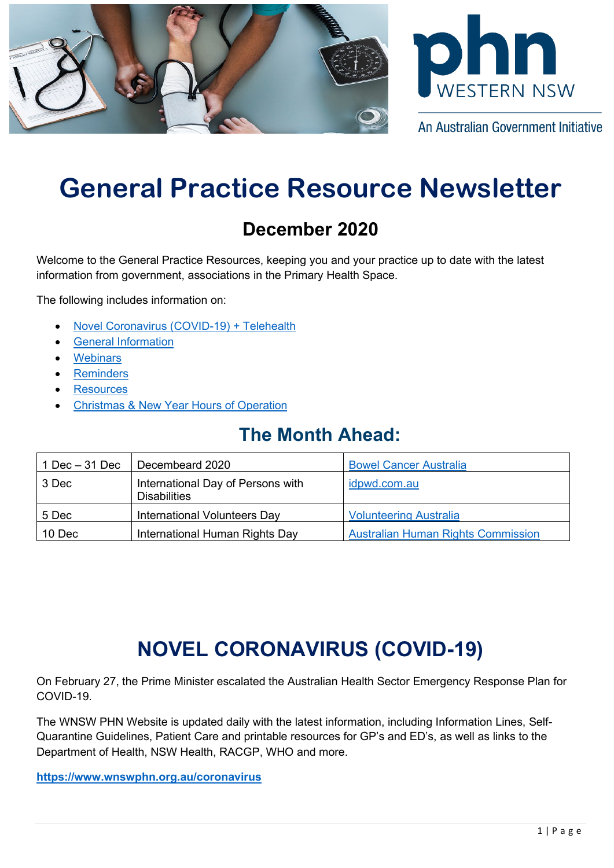



An Australian Government Initiative

# **General Practice Resource Newsletter**

## **December 2020**

Welcome to the General Practice Resources, keeping you and your practice up to date with the latest information from government, associations in the Primary Health Space.

The following includes information on:

- [Novel Coronavirus \(COVID-19\)](#page-0-0) + Telehealth
- [General Information](#page-1-0)
- **[Webinars](#page-5-0)**
- **[Reminders](#page-7-0)**
- **[Resources](#page-7-1)**
- [Christmas & New Year Hours of Operation](#page-7-2)

## **The Month Ahead:**

<span id="page-0-0"></span>

| $1$ Dec $-31$ Dec | Decembeard 2020                                          | <b>Bowel Cancer Australia</b>             |
|-------------------|----------------------------------------------------------|-------------------------------------------|
| 3 Dec             | International Day of Persons with<br><b>Disabilities</b> | idpwd.com.au                              |
| 5 Dec             | International Volunteers Day                             | <b>Volunteering Australia</b>             |
| 10 Dec            | International Human Rights Day                           | <b>Australian Human Rights Commission</b> |

# **NOVEL CORONAVIRUS (COVID-19)**

On February 27, the Prime Minister escalated the Australian Health Sector Emergency Response Plan for COVID-19.

The WNSW PHN Website is updated daily with the latest information, including Information Lines, Self-Quarantine Guidelines, Patient Care and printable resources for GP's and ED's, as well as links to the Department of Health, NSW Health, RACGP, WHO and more.

**<https://www.wnswphn.org.au/coronavirus>**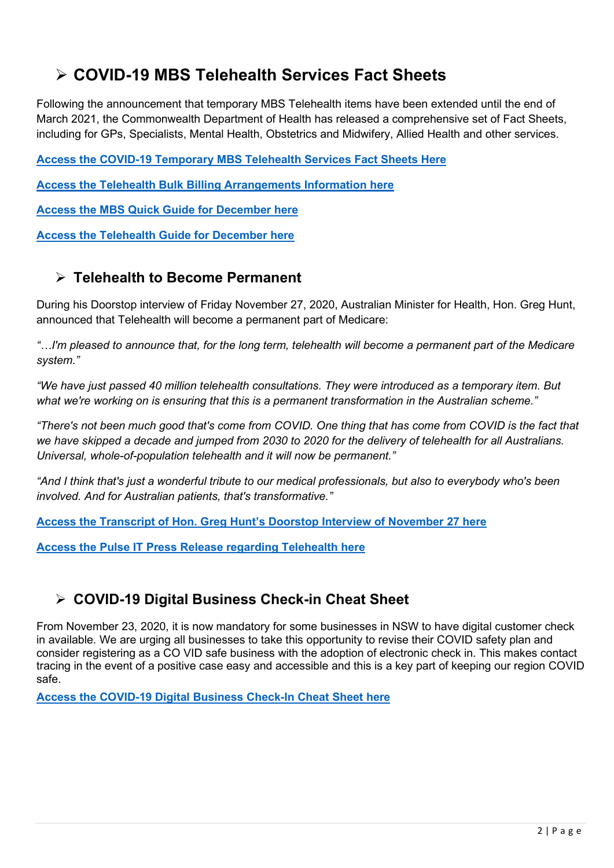## **COVID-19 MBS Telehealth Services Fact Sheets**

Following the announcement that temporary MBS Telehealth items have been extended until the end of March 2021, the Commonwealth Department of Health has released a comprehensive set of Fact Sheets, including for GPs, Specialists, Mental Health, Obstetrics and Midwifery, Allied Health and other services.

**[Access the COVID-19 Temporary MBS Telehealth Services Fact Sheets Here](http://www.mbsonline.gov.au/internet/mbsonline/publishing.nsf/Content/Factsheet-TempBB)**

**[Access the Telehealth Bulk Billing Arrangements Information here](http://www.mbsonline.gov.au/internet/mbsonline/publishing.nsf/Content/Factsheet-TempBB)**

**[Access the MBS Quick Guide for December here](https://www.wnswphn.org.au/uploads/documents/newsletters/GP%20Resources%20December%202020/mbs_quick-guide-dec20.pdf)**

**[Access the Telehealth Guide](https://www.wnswphn.org.au/uploads/documents/newsletters/GP%20Resources%20December%202020/mbs_card_dec20_telehealthupdate_0.pdf) for December here**

#### **Telehealth to Become Permanent**

During his Doorstop interview of Friday November 27, 2020, Australian Minister for Health, Hon. Greg Hunt, announced that Telehealth will become a permanent part of Medicare:

*"…I'm pleased to announce that, for the long term, telehealth will become a permanent part of the Medicare system."*

*"We have just passed 40 million telehealth consultations. They were introduced as a temporary item. But what we're working on is ensuring that this is a permanent transformation in the Australian scheme."*

*"There's not been much good that's come from COVID. One thing that has come from COVID is the fact that we have skipped a decade and jumped from 2030 to 2020 for the delivery of telehealth for all Australians. Universal, whole-of-population telehealth and it will now be permanent."*

*"And I think that's just a wonderful tribute to our medical professionals, but also to everybody who's been involved. And for Australian patients, that's transformative."*

**[Access the Transcript of Hon. Greg Hunt's Doorstop Interview of November 27 here](https://www.health.gov.au/ministers/the-hon-greg-hunt-mp/media/doorstop-interview-on-27-november-2020)**

**[Access the Pulse IT Press Release regarding Telehealth here](https://www.wnswphn.org.au/uploads/documents/newsletters/GP%20Resources%20December%202020/Pulse+IT%20-%20The%20fax%20fights%20back.pdf)**

#### **COVID-19 Digital Business Check-in Cheat Sheet**

<span id="page-1-0"></span>From November 23, 2020, it is now mandatory for some businesses in NSW to have digital customer check in available. We are urging all businesses to take this opportunity to revise their COVID safety plan and consider registering as a CO VID safe business with the adoption of electronic check in. This makes contact tracing in the event of a positive case easy and accessible and this is a key part of keeping our region COVID safe.

**[Access the COVID-19 Digital Business Check-In Cheat Sheet here](https://www.wnswphn.org.au/uploads/documents/newsletters/GP%20Resources%20December%202020/Digital%20Covid%20Check-In%20Version%203.0.pdf)**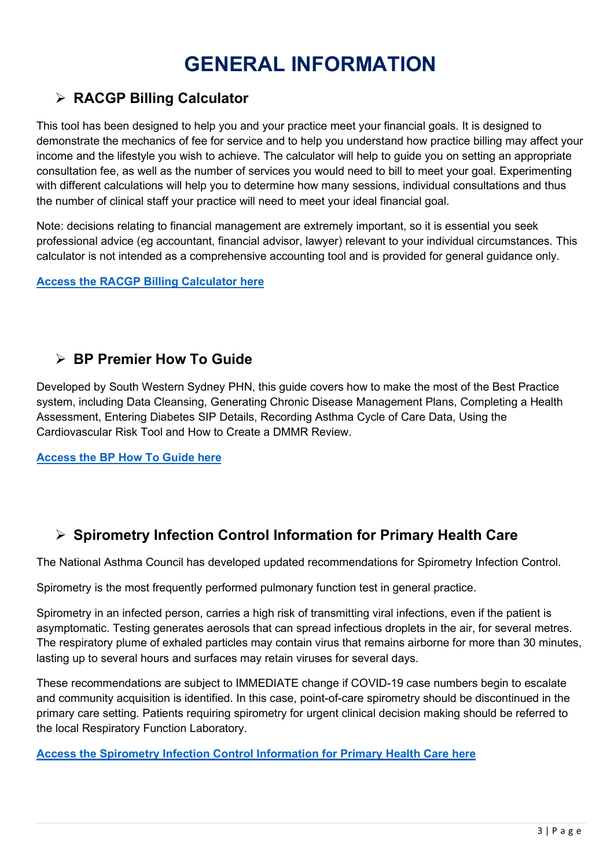# **GENERAL INFORMATION**

### **RACGP Billing Calculator**

This tool has been designed to help you and your practice meet your financial goals. It is designed to demonstrate the mechanics of fee for service and to help you understand how practice billing may affect your income and the lifestyle you wish to achieve. The calculator will help to guide you on setting an appropriate consultation fee, as well as the number of services you would need to bill to meet your goal. Experimenting with different calculations will help you to determine how many sessions, individual consultations and thus the number of clinical staff your practice will need to meet your ideal financial goal.

Note: decisions relating to financial management are extremely important, so it is essential you seek professional advice (eg accountant, financial advisor, lawyer) relevant to your individual circumstances. This calculator is not intended as a comprehensive accounting tool and is provided for general guidance only.

#### **[Access the RACGP Billing Calculator here](https://www.gpbt.com.au/calculator/?fbclid=IwAR16QwLlGySID8ck9jwETYOvE0hZhFbbOGjHGg2vvc53UOGcjpKA_5UfMjc)**

#### **BP Premier How To Guide**

Developed by South Western Sydney PHN, this guide covers how to make the most of the Best Practice system, including Data Cleansing, Generating Chronic Disease Management Plans, Completing a Health Assessment, Entering Diabetes SIP Details, Recording Asthma Cycle of Care Data, Using the Cardiovascular Risk Tool and How to Create a DMMR Review.

**[Access the BP](https://www.wnswphn.org.au/uploads/documents/newsletters/GP%20Resources%20December%202020/Quality%20improvement%20in%20BP%20how%20to%20guide.pdf) How To Guide here**

### **Spirometry Infection Control Information for Primary Health Care**

The National Asthma Council has developed updated recommendations for Spirometry Infection Control.

Spirometry is the most frequently performed pulmonary function test in general practice.

Spirometry in an infected person, carries a high risk of transmitting viral infections, even if the patient is asymptomatic. Testing generates aerosols that can spread infectious droplets in the air, for several metres. The respiratory plume of exhaled particles may contain virus that remains airborne for more than 30 minutes, lasting up to several hours and surfaces may retain viruses for several days.

These recommendations are subject to IMMEDIATE change if COVID-19 case numbers begin to escalate and community acquisition is identified. In this case, point-of-care spirometry should be discontinued in the primary care setting. Patients requiring spirometry for urgent clinical decision making should be referred to the local Respiratory Function Laboratory.

**Access the [Spirometry Infection Control Information for Primary Health Care here](https://www.wnswphn.org.au/uploads/documents/newsletters/GP%20Resources%20December%202020/Spirometry%20Infection%20Control%20Recommendations%20for%20Primary%20Care.pdf)**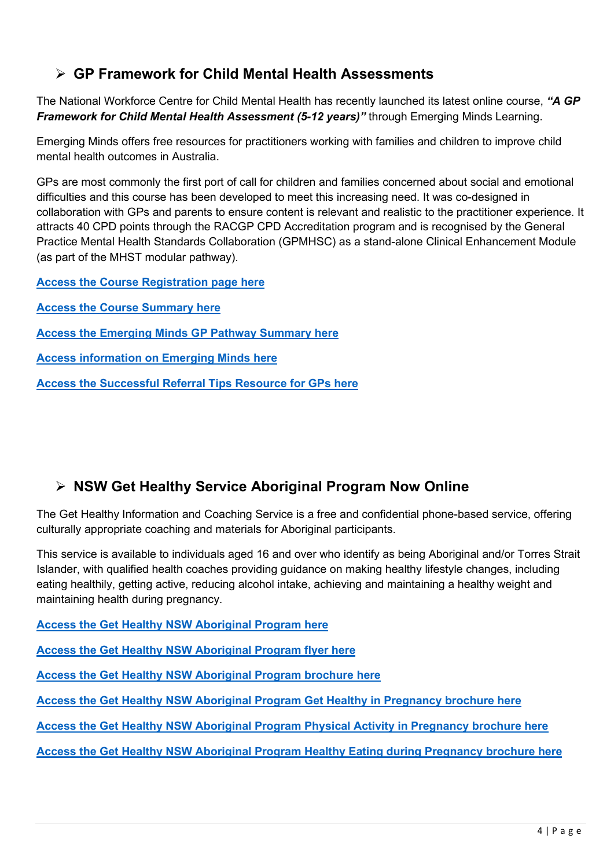### **GP Framework for Child Mental Health Assessments**

The National Workforce Centre for Child Mental Health has recently launched its latest online course, *"A GP Framework for Child Mental Health Assessment (5-12 years)"* through Emerging Minds Learning.

Emerging Minds offers free resources for practitioners working with families and children to improve child mental health outcomes in Australia.

GPs are most commonly the first port of call for children and families concerned about social and emotional difficulties and this course has been developed to meet this increasing need. It was co-designed in collaboration with GPs and parents to ensure content is relevant and realistic to the practitioner experience. It attracts 40 CPD points through the RACGP CPD Accreditation program and is recognised by the General Practice Mental Health Standards Collaboration (GPMHSC) as a stand-alone Clinical Enhancement Module (as part of the MHST modular pathway).

**[Access the Course Registration page here](https://learning.emergingminds.com.au/login?redirect=%2Fcourse%2Fa-gp-framework-for-child-mental-health-assessment-5-12-years)**

- **[Access the Course Summary here](https://www.wnswphn.org.au/uploads/documents/newsletters/GP%20Resources%20December%202020/Course%20summary_GPFramework%20for%20CMH%20Assessment%205-12.pdf)**
- **[Access the Emerging](https://www.wnswphn.org.au/uploads/documents/newsletters/GP%20Resources%20December%202020/EML%20General%20Practice%20Pathway%20Summary%20Nov%202020.pdf) Minds GP Pathway Summary here**

**Access information on [Emerging Minds](https://emergingminds.com.au/) here**

**[Access the Successful Referral Tips](https://www.wnswphn.org.au/uploads/documents/newsletters/GP%20Resources%20December%202020/Successful%20referral%20to%20clinical%20and%20non-clinical%20services%20tips%20for%20GPs.pdf) Resource for GPs here**

### **NSW Get Healthy Service Aboriginal Program Now Online**

The Get Healthy Information and Coaching Service is a free and confidential phone-based service, offering culturally appropriate coaching and materials for Aboriginal participants.

This service is available to individuals aged 16 and over who identify as being Aboriginal and/or Torres Strait Islander, with qualified health coaches providing guidance on making healthy lifestyle changes, including eating healthily, getting active, reducing alcohol intake, achieving and maintaining a healthy weight and maintaining health during pregnancy.

**[Access the Get Healthy NSW Aboriginal Program here](https://www.gethealthynsw.com.au/program/aboriginal-program/)**

**[Access the Get Healthy NSW Aboriginal Program flyer here](https://www.wnswphn.org.au/uploads/documents/newsletters/GP%20Resources%20December%202020/16X-Get-Healthy-Aboriginal-Poster-Aug16-DRAFT.pdf)**

**[Access the Get Healthy NSW Aboriginal Program brochure here](https://www.wnswphn.org.au/uploads/documents/newsletters/GP%20Resources%20December%202020/16X-Get-Healthy-Aboriginal-DL-flyer-Aug16-DRAFT%20(1).pdf)**

**[Access the Get Healthy NSW Aboriginal Program](https://www.wnswphn.org.au/uploads/documents/newsletters/GP%20Resources%20December%202020/Aboriginal-Get-Healthy-in-Pregnancy-Brouchure-PDF.pdf) Get Healthy in Pregnancy brochure here**

**[Access the Get Healthy NSW Aboriginal Program](https://www.wnswphn.org.au/uploads/documents/newsletters/GP%20Resources%20December%202020/C13621-GHIP-PhysicalActivity-F-LRweb-code%20(1).pdf) Physical Activity in Pregnancy brochure here**

**[Access the Get Healthy NSW Aboriginal Program](https://www.wnswphn.org.au/uploads/documents/newsletters/GP%20Resources%20December%202020/C13621-GHIP-HealthyEating-F-LRweb-code.pdf) Healthy Eating during Pregnancy brochure here**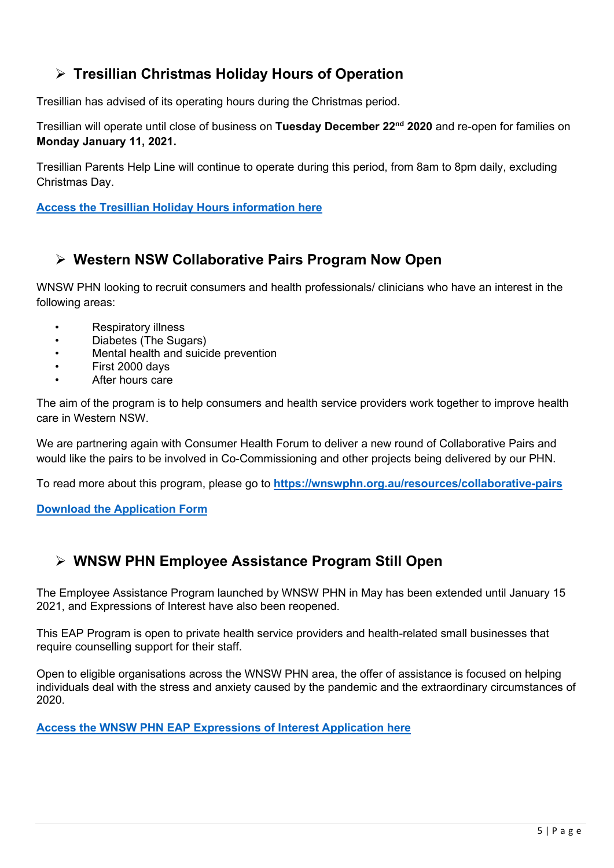### **Tresillian Christmas Holiday Hours of Operation**

Tresillian has advised of its operating hours during the Christmas period.

Tresillian will operate until close of business on **Tuesday December 22nd 2020** and re-open for families on **Monday January 11, 2021.**

Tresillian Parents Help Line will continue to operate during this period, from 8am to 8pm daily, excluding Christmas Day.

#### **[Access the Tresillian Holiday Hours information here](https://www.wnswphn.org.au/uploads/documents/newsletters/GP%20Resources%20December%202020/Christmas_Closure%20Flyer_2020.pdf)**

#### **Western NSW Collaborative Pairs Program Now Open**

WNSW PHN looking to recruit consumers and health professionals/ clinicians who have an interest in the following areas:

- Respiratory illness
- Diabetes (The Sugars)
- Mental health and suicide prevention
- First 2000 days
- After hours care

The aim of the program is to help consumers and health service providers work together to improve health care in Western NSW.

We are partnering again with Consumer Health Forum to deliver a new round of Collaborative Pairs and would like the pairs to be involved in Co-Commissioning and other projects being delivered by our PHN.

To read more about this program, please go to **<https://wnswphn.org.au/resources/collaborative-pairs>**

**[Download the Application Form](https://chf.org.au/western-nsw-phn-collaborative-pairs-program-application-form)**

#### **WNSW PHN Employee Assistance Program Still Open**

The Employee Assistance Program launched by WNSW PHN in May has been extended until January 15 2021, and Expressions of Interest have also been reopened.

This EAP Program is open to private health service providers and health-related small businesses that require counselling support for their staff.

Open to eligible organisations across the WNSW PHN area, the offer of assistance is focused on helping individuals deal with the stress and anxiety caused by the pandemic and the extraordinary circumstances of 2020.

**[Access the WNSW PHN EAP Expressions of Interest Application here](https://www.wnswphn.org.au/uploads/documents/Resources/Coronavirus/WNSW%20PHN%20EAP%20Workforce%20-%20EOI%20October%202020.pdf)**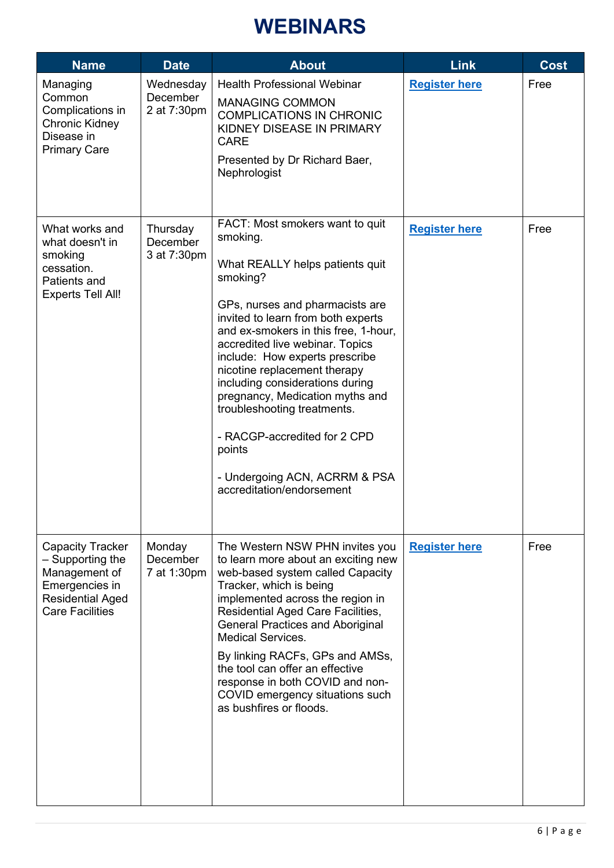## **WEBINARS**

<span id="page-5-0"></span>

| <b>Name</b>                                                                                                                         | <b>Date</b>                          | <b>About</b>                                                                                                                                                                                                                                                                                                                                                                                                                                                                                                                  | <b>Link</b>          | <b>Cost</b> |
|-------------------------------------------------------------------------------------------------------------------------------------|--------------------------------------|-------------------------------------------------------------------------------------------------------------------------------------------------------------------------------------------------------------------------------------------------------------------------------------------------------------------------------------------------------------------------------------------------------------------------------------------------------------------------------------------------------------------------------|----------------------|-------------|
| Managing<br>Common<br>Complications in<br>Chronic Kidney<br>Disease in<br><b>Primary Care</b>                                       | Wednesday<br>December<br>2 at 7:30pm | <b>Health Professional Webinar</b><br><b>MANAGING COMMON</b><br><b>COMPLICATIONS IN CHRONIC</b><br>KIDNEY DISEASE IN PRIMARY<br><b>CARE</b><br>Presented by Dr Richard Baer,<br>Nephrologist                                                                                                                                                                                                                                                                                                                                  | <b>Register here</b> | Free        |
| What works and<br>what doesn't in<br>smoking<br>cessation.<br>Patients and<br><b>Experts Tell All!</b>                              | Thursday<br>December<br>3 at 7:30pm  | FACT: Most smokers want to quit<br>smoking.<br>What REALLY helps patients quit<br>smoking?<br>GPs, nurses and pharmacists are<br>invited to learn from both experts<br>and ex-smokers in this free, 1-hour,<br>accredited live webinar. Topics<br>include: How experts prescribe<br>nicotine replacement therapy<br>including considerations during<br>pregnancy, Medication myths and<br>troubleshooting treatments.<br>- RACGP-accredited for 2 CPD<br>points<br>- Undergoing ACN, ACRRM & PSA<br>accreditation/endorsement | <b>Register here</b> | Free        |
| <b>Capacity Tracker</b><br>- Supporting the<br>Management of<br>Emergencies in<br><b>Residential Aged</b><br><b>Care Facilities</b> | Monday<br>December<br>7 at 1:30pm    | The Western NSW PHN invites you<br>to learn more about an exciting new<br>web-based system called Capacity<br>Tracker, which is being<br>implemented across the region in<br><b>Residential Aged Care Facilities,</b><br><b>General Practices and Aboriginal</b><br><b>Medical Services.</b><br>By linking RACFs, GPs and AMSs,<br>the tool can offer an effective<br>response in both COVID and non-<br>COVID emergency situations such<br>as bushfires or floods.                                                           | <b>Register here</b> | Free        |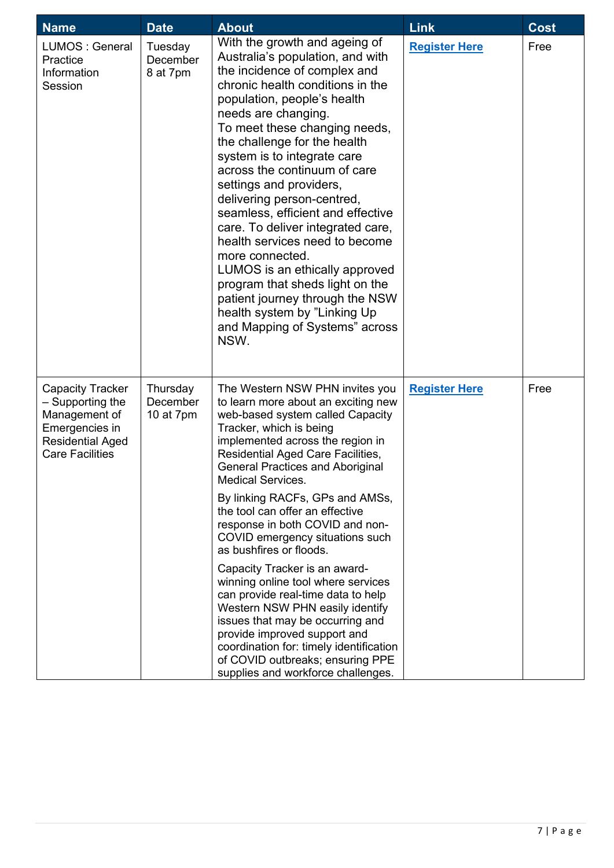| <b>Name</b>                                                                                                                         | <b>Date</b>                       | <b>About</b>                                                                                                                                                                                                                                                                                                                                                                                                                                                                                                                                                                                                                                                                                          | <b>Link</b>          | <b>Cost</b> |
|-------------------------------------------------------------------------------------------------------------------------------------|-----------------------------------|-------------------------------------------------------------------------------------------------------------------------------------------------------------------------------------------------------------------------------------------------------------------------------------------------------------------------------------------------------------------------------------------------------------------------------------------------------------------------------------------------------------------------------------------------------------------------------------------------------------------------------------------------------------------------------------------------------|----------------------|-------------|
| LUMOS: General<br>Practice<br>Information<br>Session                                                                                | Tuesday<br>December<br>8 at 7pm   | With the growth and ageing of<br>Australia's population, and with<br>the incidence of complex and<br>chronic health conditions in the<br>population, people's health<br>needs are changing.<br>To meet these changing needs,<br>the challenge for the health<br>system is to integrate care<br>across the continuum of care<br>settings and providers,<br>delivering person-centred,<br>seamless, efficient and effective<br>care. To deliver integrated care,<br>health services need to become<br>more connected.<br>LUMOS is an ethically approved<br>program that sheds light on the<br>patient journey through the NSW<br>health system by "Linking Up<br>and Mapping of Systems" across<br>NSW. | <b>Register Here</b> | Free        |
| <b>Capacity Tracker</b><br>- Supporting the<br>Management of<br>Emergencies in<br><b>Residential Aged</b><br><b>Care Facilities</b> | Thursday<br>December<br>10 at 7pm | The Western NSW PHN invites you<br>to learn more about an exciting new<br>web-based system called Capacity<br>Tracker, which is being<br>implemented across the region in<br><b>Residential Aged Care Facilities,</b><br><b>General Practices and Aboriginal</b><br>Medical Services.<br>By linking RACFs, GPs and AMSs,<br>the tool can offer an effective<br>response in both COVID and non-<br>COVID emergency situations such<br>as bushfires or floods.                                                                                                                                                                                                                                          | <b>Register Here</b> | Free        |
|                                                                                                                                     |                                   | Capacity Tracker is an award-<br>winning online tool where services<br>can provide real-time data to help<br>Western NSW PHN easily identify<br>issues that may be occurring and<br>provide improved support and<br>coordination for: timely identification<br>of COVID outbreaks; ensuring PPE<br>supplies and workforce challenges.                                                                                                                                                                                                                                                                                                                                                                 |                      |             |